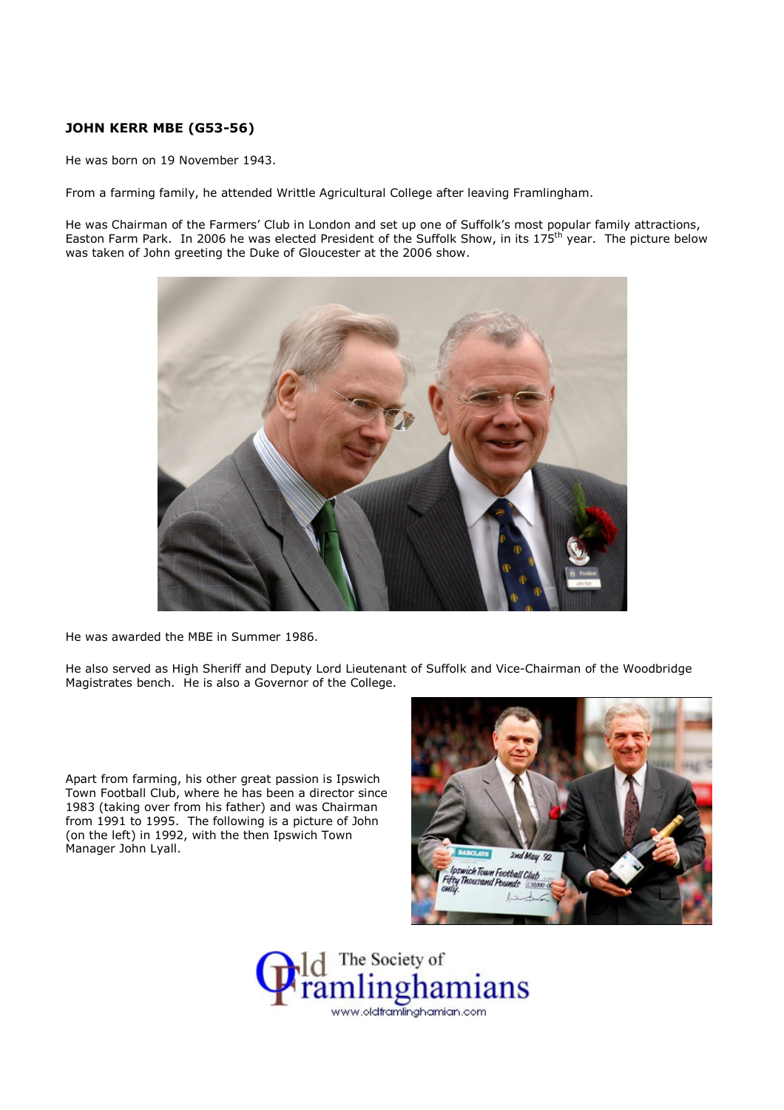## JOHN KERR MBE (G53-56)

He was born on 19 November 1943.

From a farming family, he attended Writtle Agricultural College after leaving Framlingham.

He was Chairman of the Farmers' Club in London and set up one of Suffolk's most popular family attractions, Easton Farm Park. In 2006 he was elected President of the Suffolk Show, in its 175<sup>th</sup> year. The picture below was taken of John greeting the Duke of Gloucester at the 2006 show.



He was awarded the MBE in Summer 1986.

He also served as High Sheriff and Deputy Lord Lieutenant of Suffolk and Vice-Chairman of the Woodbridge Magistrates bench. He is also a Governor of the College.

Apart from farming, his other great passion is Ipswich Town Football Club, where he has been a director since 1983 (taking over from his father) and was Chairman from 1991 to 1995. The following is a picture of John (on the left) in 1992, with the then Ipswich Town Manager John Lyall.